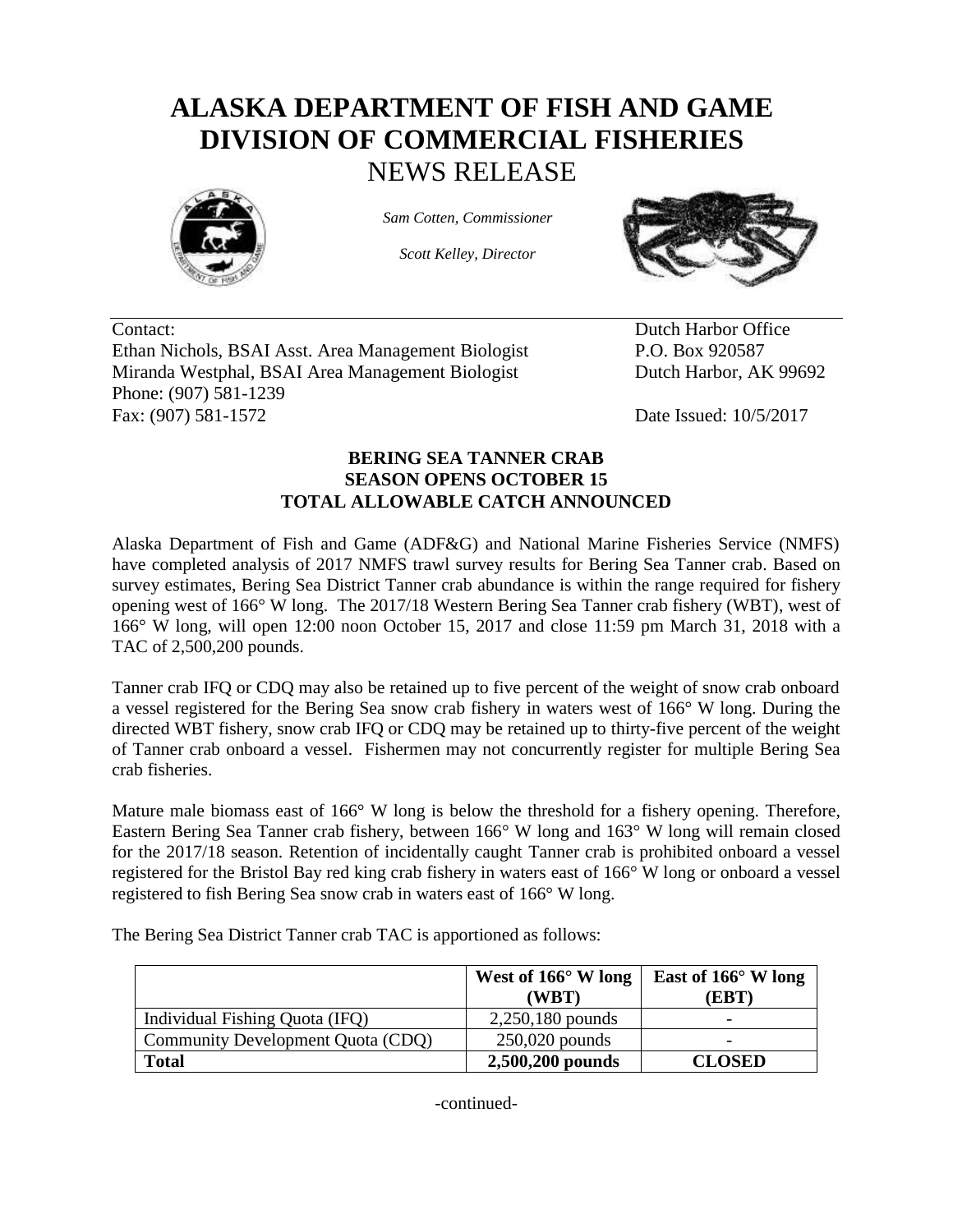## **ALASKA DEPARTMENT OF FISH AND GAME DIVISION OF COMMERCIAL FISHERIES** NEWS RELEASE



*Sam Cotten, Commissioner*

*Scott Kelley, Director*



Contact: Dutch Harbor Office Ethan Nichols, BSAI Asst. Area Management Biologist P.O. Box 920587 Miranda Westphal, BSAI Area Management Biologist Dutch Harbor, AK 99692 Phone: (907) 581-1239 Fax: (907) 581-1572 Date Issued: 10/5/2017

## **BERING SEA TANNER CRAB SEASON OPENS OCTOBER 15 TOTAL ALLOWABLE CATCH ANNOUNCED**

Alaska Department of Fish and Game (ADF&G) and National Marine Fisheries Service (NMFS) have completed analysis of 2017 NMFS trawl survey results for Bering Sea Tanner crab. Based on survey estimates, Bering Sea District Tanner crab abundance is within the range required for fishery opening west of 166° W long. The 2017/18 Western Bering Sea Tanner crab fishery (WBT), west of 166° W long, will open 12:00 noon October 15, 2017 and close 11:59 pm March 31, 2018 with a TAC of 2,500,200 pounds.

Tanner crab IFQ or CDQ may also be retained up to five percent of the weight of snow crab onboard a vessel registered for the Bering Sea snow crab fishery in waters west of 166° W long. During the directed WBT fishery, snow crab IFQ or CDQ may be retained up to thirty-five percent of the weight of Tanner crab onboard a vessel. Fishermen may not concurrently register for multiple Bering Sea crab fisheries.

Mature male biomass east of 166° W long is below the threshold for a fishery opening. Therefore, Eastern Bering Sea Tanner crab fishery, between 166° W long and 163° W long will remain closed for the 2017/18 season. Retention of incidentally caught Tanner crab is prohibited onboard a vessel registered for the Bristol Bay red king crab fishery in waters east of 166° W long or onboard a vessel registered to fish Bering Sea snow crab in waters east of 166° W long.

The Bering Sea District Tanner crab TAC is apportioned as follows:

|                                   | West of $166^{\circ}$ W long<br>(WBT) | East of $166^{\circ}$ W long<br>[EBT] |
|-----------------------------------|---------------------------------------|---------------------------------------|
| Individual Fishing Quota (IFQ)    | $2,250,180$ pounds                    | -                                     |
| Community Development Quota (CDQ) | $250,020$ pounds                      |                                       |
| <b>Total</b>                      | 2,500,200 pounds                      | <b>CLOSED</b>                         |

-continued-